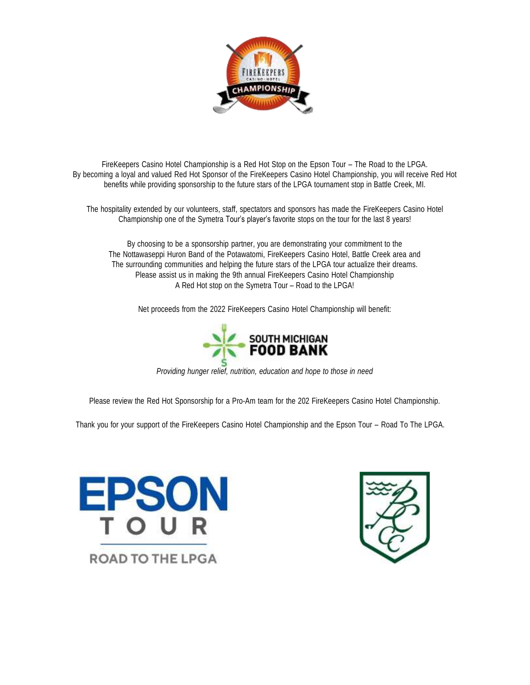

FireKeepers Casino Hotel Championship is a Red Hot Stop on the Epson Tour – The Road to the LPGA. By becoming a loyal and valued Red Hot Sponsor of the FireKeepers Casino Hotel Championship, you will receive Red Hot benefits while providing sponsorship to the future stars of the LPGA tournament stop in Battle Creek, MI.

The hospitality extended by our volunteers, staff, spectators and sponsors has made the FireKeepers Casino Hotel Championship one of the Symetra Tour's player's favorite stops on the tour for the last 8 years!

By choosing to be a sponsorship partner, you are demonstrating your commitment to the The Nottawaseppi Huron Band of the Potawatomi, FireKeepers Casino Hotel, Battle Creek area and The surrounding communities and helping the future stars of the LPGA tour actualize their dreams. Please assist us in making the 9th annual FireKeepers Casino Hotel Championship A Red Hot stop on the Symetra Tour – Road to the LPGA!

Net proceeds from the 2022 FireKeepers Casino Hotel Championship will benefit:



*Providing hunger relief, nutrition, education and hope to those in need*

Please review the Red Hot Sponsorship for a Pro-Am team for the 202 FireKeepers Casino Hotel Championship.

Thank you for your support of the FireKeepers Casino Hotel Championship and the Epson Tour – Road To The LPGA.